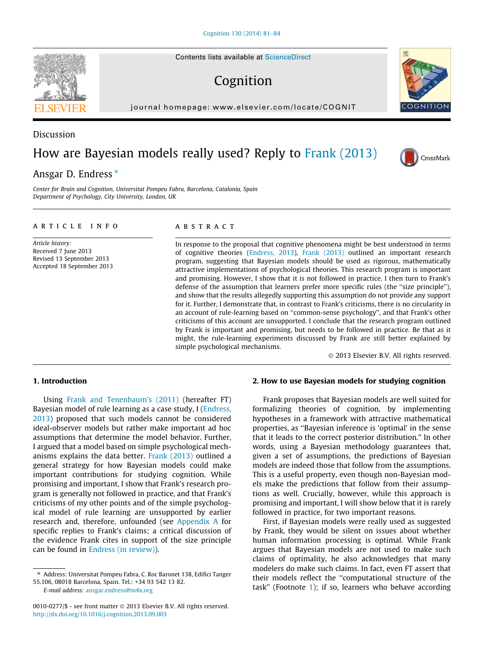Contents lists available at [ScienceDirect](http://www.sciencedirect.com/science/journal/00100277)

# Cognition

journal homepage: [www.elsevier.com/locate/COGNIT](http://www.elsevier.com/locate/COGNIT)

# Discussion

# How are Bayesian models really used? Reply to [Frank \(2013\)](#page-3-0)

## Ansgar D. Endress  $*$

Center for Brain and Cognition, Universitat Pompeu Fabra, Barcelona, Catalonia, Spain Department of Psychology, City University, London, UK

#### article info

Article history: Received 7 June 2013 Revised 13 September 2013 Accepted 18 September 2013

## **ABSTRACT**

In response to the proposal that cognitive phenomena might be best understood in terms of cognitive theories [\(Endress, 2013](#page-3-0)), [Frank \(2013\)](#page-3-0) outlined an important research program, suggesting that Bayesian models should be used as rigorous, mathematically attractive implementations of psychological theories. This research program is important and promising. However, I show that it is not followed in practice. I then turn to Frank's defense of the assumption that learners prefer more specific rules (the "size principle"), and show that the results allegedly supporting this assumption do not provide any support for it. Further, I demonstrate that, in contrast to Frank's criticisms, there is no circularity in an account of rule-learning based on ''common-sense psychology'', and that Frank's other criticisms of this account are unsupported. I conclude that the research program outlined by Frank is important and promising, but needs to be followed in practice. Be that as it might, the rule-learning experiments discussed by Frank are still better explained by simple psychological mechanisms.

- 2013 Elsevier B.V. All rights reserved.

#### 1. Introduction

Using [Frank and Tenenbaum's \(2011\)](#page-3-0) (hereafter FT) Bayesian model of rule learning as a case study, I ([Endress,](#page-3-0) [2013\)](#page-3-0) proposed that such models cannot be considered ideal-observer models but rather make important ad hoc assumptions that determine the model behavior. Further, I argued that a model based on simple psychological mechanisms explains the data better. [Frank \(2013\)](#page-3-0) outlined a general strategy for how Bayesian models could make important contributions for studying cognition. While promising and important, I show that Frank's research program is generally not followed in practice, and that Frank's criticisms of my other points and of the simple psychological model of rule learning are unsupported by earlier research and, therefore, unfounded (see [Appendix A](#page-2-0) for specific replies to Frank's claims; a critical discussion of the evidence Frank cites in support of the size principle can be found in [Endress \(in review\)\)](#page-3-0).

E-mail address: [ansgar.endress@m4x.org](mailto:ansgar.endress@m4x.org)

#### 2. How to use Bayesian models for studying cognition

Frank proposes that Bayesian models are well suited for formalizing theories of cognition, by implementing hypotheses in a framework with attractive mathematical properties, as ''Bayesian inference is 'optimal' in the sense that it leads to the correct posterior distribution.'' In other words, using a Bayesian methodology guarantees that, given a set of assumptions, the predictions of Bayesian models are indeed those that follow from the assumptions. This is a useful property, even though non-Bayesian models make the predictions that follow from their assumptions as well. Crucially, however, while this approach is promising and important, I will show below that it is rarely followed in practice, for two important reasons.

First, if Bayesian models were really used as suggested by Frank, they would be silent on issues about whether human information processing is optimal. While Frank argues that Bayesian models are not used to make such claims of optimality, he also acknowledges that many modelers do make such claims. In fact, even FT assert that their models reflect the ''computational structure of the task'' (Footnote [1\)](#page-1-0); if so, learners who behave according







<sup>⇑</sup> Address: Universitat Pompeu Fabra, C. Roc Baronet 138, Edifici Tanger 55.106, 08018 Barcelona, Spain. Tel.: +34 93 542 13 82.

<sup>0010-0277/\$ -</sup> see front matter © 2013 Elsevier B.V. All rights reserved. <http://dx.doi.org/10.1016/j.cognition.2013.09.003>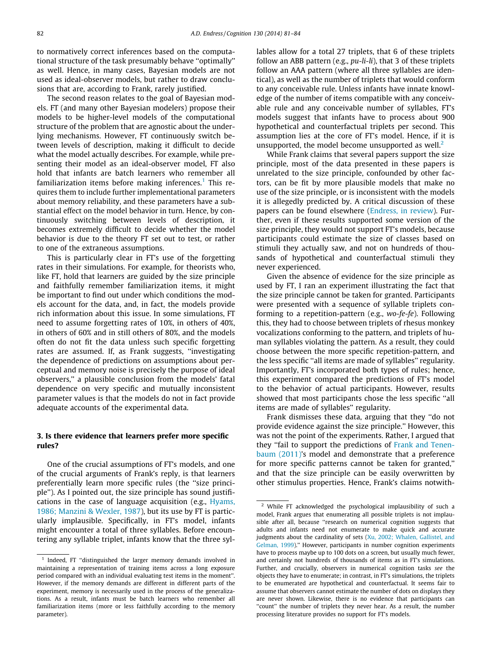<span id="page-1-0"></span>to normatively correct inferences based on the computational structure of the task presumably behave ''optimally'' as well. Hence, in many cases, Bayesian models are not used as ideal-observer models, but rather to draw conclusions that are, according to Frank, rarely justified.

The second reason relates to the goal of Bayesian models. FT (and many other Bayesian modelers) propose their models to be higher-level models of the computational structure of the problem that are agnostic about the underlying mechanisms. However, FT continuously switch between levels of description, making it difficult to decide what the model actually describes. For example, while presenting their model as an ideal-observer model, FT also hold that infants are batch learners who remember all familiarization items before making inferences.<sup>1</sup> This requires them to include further implementational parameters about memory reliability, and these parameters have a substantial effect on the model behavior in turn. Hence, by continuously switching between levels of description, it becomes extremely difficult to decide whether the model behavior is due to the theory FT set out to test, or rather to one of the extraneous assumptions.

This is particularly clear in FT's use of the forgetting rates in their simulations. For example, for theorists who, like FT, hold that learners are guided by the size principle and faithfully remember familiarization items, it might be important to find out under which conditions the models account for the data, and, in fact, the models provide rich information about this issue. In some simulations, FT need to assume forgetting rates of 10%, in others of 40%, in others of 60% and in still others of 80%, and the models often do not fit the data unless such specific forgetting rates are assumed. If, as Frank suggests, ''investigating the dependence of predictions on assumptions about perceptual and memory noise is precisely the purpose of ideal observers,'' a plausible conclusion from the models' fatal dependence on very specific and mutually inconsistent parameter values is that the models do not in fact provide adequate accounts of the experimental data.

### 3. Is there evidence that learners prefer more specific rules?

One of the crucial assumptions of FT's models, and one of the crucial arguments of Frank's reply, is that learners preferentially learn more specific rules (the ''size principle''). As I pointed out, the size principle has sound justifications in the case of language acquisition (e.g., [Hyams,](#page-3-0) [1986; Manzini & Wexler, 1987](#page-3-0)), but its use by FT is particularly implausible. Specifically, in FT's model, infants might encounter a total of three syllables. Before encountering any syllable triplet, infants know that the three syllables allow for a total 27 triplets, that 6 of these triplets follow an ABB pattern (e.g., pu-li-li), that 3 of these triplets follow an AAA pattern (where all three syllables are identical), as well as the number of triplets that would conform to any conceivable rule. Unless infants have innate knowledge of the number of items compatible with any conceivable rule and any conceivable number of syllables, FT's models suggest that infants have to process about 900 hypothetical and counterfactual triplets per second. This assumption lies at the core of FT's model. Hence, if it is unsupported, the model become unsupported as well. $<sup>2</sup>$ </sup>

While Frank claims that several papers support the size principle, most of the data presented in these papers is unrelated to the size principle, confounded by other factors, can be fit by more plausible models that make no use of the size principle, or is inconsistent with the models it is allegedly predicted by. A critical discussion of these papers can be found elsewhere ([Endress, in review\)](#page-3-0). Further, even if these results supported some version of the size principle, they would not support FT's models, because participants could estimate the size of classes based on stimuli they actually saw, and not on hundreds of thousands of hypothetical and counterfactual stimuli they never experienced.

Given the absence of evidence for the size principle as used by FT, I ran an experiment illustrating the fact that the size principle cannot be taken for granted. Participants were presented with a sequence of syllable triplets conforming to a repetition-pattern (e.g., wo-fe-fe). Following this, they had to choose between triplets of rhesus monkey vocalizations conforming to the pattern, and triplets of human syllables violating the pattern. As a result, they could choose between the more specific repetition-pattern, and the less specific ''all items are made of syllables'' regularity. Importantly, FT's incorporated both types of rules; hence, this experiment compared the predictions of FT's model to the behavior of actual participants. However, results showed that most participants chose the less specific ''all items are made of syllables'' regularity.

Frank dismisses these data, arguing that they ''do not provide evidence against the size principle.'' However, this was not the point of the experiments. Rather, I argued that they ''fail to support the predictions of [Frank and Tenen](#page-3-0)[baum \(2011\)](#page-3-0)'s model and demonstrate that a preference for more specific patterns cannot be taken for granted,'' and that the size principle can be easily overwritten by other stimulus properties. Hence, Frank's claims notwith-

<sup>&</sup>lt;sup>1</sup> Indeed, FT "distinguished the larger memory demands involved in maintaining a representation of training items across a long exposure period compared with an individual evaluating test items in the moment''. However, if the memory demands are different in different parts of the experiment, memory is necessarily used in the process of the generalizations. As a result, infants must be batch learners who remember all familiarization items (more or less faithfully according to the memory parameter).

<sup>2</sup> While FT acknowledged the psychological implausibility of such a model, Frank argues that enumerating all possible triplets is not implausible after all, because ''research on numerical cognition suggests that adults and infants need not enumerate to make quick and accurate judgments about the cardinality of sets [\(Xu, 2002; Whalen, Gallistel, and](#page-3-0) [Gelman, 1999](#page-3-0)).'' However, participants in number cognition experiments have to process maybe up to 100 dots on a screen, but usually much fewer, and certainly not hundreds of thousands of items as in FT's simulations. Further, and crucially, observers in numerical cognition tasks see the objects they have to enumerate; in contrast, in FT's simulations, the triplets to be enumerated are hypothetical and counterfactual. It seems fair to assume that observers cannot estimate the number of dots on displays they are never shown. Likewise, there is no evidence that participants can "count" the number of triplets they never hear. As a result, the number processing literature provides no support for FT's models.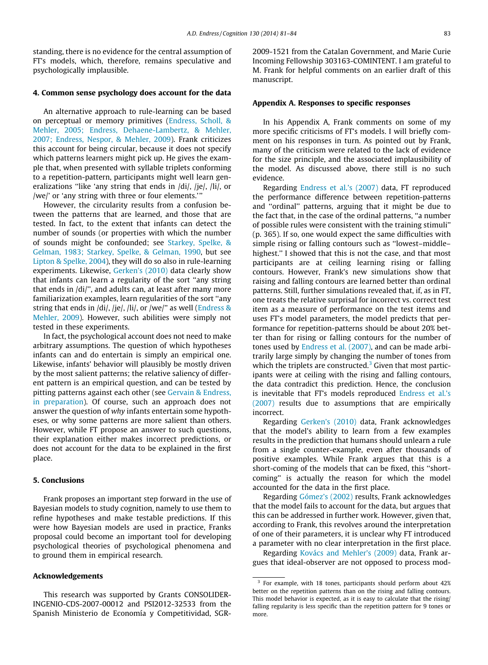<span id="page-2-0"></span>standing, there is no evidence for the central assumption of FT's models, which, therefore, remains speculative and psychologically implausible.

#### 4. Common sense psychology does account for the data

An alternative approach to rule-learning can be based on perceptual or memory primitives [\(Endress, Scholl, &](#page-3-0) [Mehler, 2005; Endress, Dehaene-Lambertz, & Mehler,](#page-3-0) [2007; Endress, Nespor, & Mehler, 2009\)](#page-3-0). Frank criticizes this account for being circular, because it does not specify which patterns learners might pick up. He gives the example that, when presented with syllable triplets conforming to a repetition-pattern, participants might well learn generalizations "like 'any string that ends in /di/, /je/, /li/, or /we/' or 'any string with three or four elements.'''

However, the circularity results from a confusion between the patterns that are learned, and those that are tested. In fact, to the extent that infants can detect the number of sounds (or properties with which the number of sounds might be confounded; see [Starkey, Spelke, &](#page-3-0) [Gelman, 1983; Starkey, Spelke, & Gelman, 1990,](#page-3-0) but see [Lipton & Spelke, 2004](#page-3-0)), they will do so also in rule-learning experiments. Likewise, [Gerken's \(2010\)](#page-3-0) data clearly show that infants can learn a regularity of the sort ''any string that ends in /di/'', and adults can, at least after many more familiarization examples, learn regularities of the sort ''any string that ends in /di/, /je/, /li/, or /we/" as well ([Endress &](#page-3-0) [Mehler, 2009\)](#page-3-0). However, such abilities were simply not tested in these experiments.

In fact, the psychological account does not need to make arbitrary assumptions. The question of which hypotheses infants can and do entertain is simply an empirical one. Likewise, infants' behavior will plausibly be mostly driven by the most salient patterns; the relative saliency of different pattern is an empirical question, and can be tested by pitting patterns against each other (see [Gervain & Endress,](#page-3-0) [in preparation](#page-3-0)). Of course, such an approach does not answer the question of why infants entertain some hypotheses, or why some patterns are more salient than others. However, while FT propose an answer to such questions, their explanation either makes incorrect predictions, or does not account for the data to be explained in the first place.

#### 5. Conclusions

Frank proposes an important step forward in the use of Bayesian models to study cognition, namely to use them to refine hypotheses and make testable predictions. If this were how Bayesian models are used in practice, Franks proposal could become an important tool for developing psychological theories of psychological phenomena and to ground them in empirical research.

#### Acknowledgements

This research was supported by Grants CONSOLIDER-INGENIO-CDS-2007-00012 and PSI2012-32533 from the Spanish Ministerio de Economía y Competitividad, SGR-

2009-1521 from the Catalan Government, and Marie Curie Incoming Fellowship 303163-COMINTENT. I am grateful to M. Frank for helpful comments on an earlier draft of this manuscript.

#### Appendix A. Responses to specific responses

In his Appendix A, Frank comments on some of my more specific criticisms of FT's models. I will briefly comment on his responses in turn. As pointed out by Frank, many of the criticism were related to the lack of evidence for the size principle, and the associated implausibility of the model. As discussed above, there still is no such evidence.

Regarding [Endress et al.'s \(2007\)](#page-3-0) data, FT reproduced the performance difference between repetition-patterns and ''ordinal'' patterns, arguing that it might be due to the fact that, in the case of the ordinal patterns, ''a number of possible rules were consistent with the training stimuli'' (p. 365). If so, one would expect the same difficulties with simple rising or falling contours such as ''lowest–middle– highest.'' I showed that this is not the case, and that most participants are at ceiling learning rising or falling contours. However, Frank's new simulations show that raising and falling contours are learned better than ordinal patterns. Still, further simulations revealed that, if, as in FT, one treats the relative surprisal for incorrect vs. correct test item as a measure of performance on the test items and uses FT's model parameters, the model predicts that performance for repetition-patterns should be about 20% better than for rising or falling contours for the number of tones used by [Endress et al. \(2007\)](#page-3-0), and can be made arbitrarily large simply by changing the number of tones from which the triplets are constructed.<sup>3</sup> Given that most participants were at ceiling with the rising and falling contours, the data contradict this prediction. Hence, the conclusion is inevitable that FT's models reproduced [Endress et al.'s](#page-3-0) [\(2007\)](#page-3-0) results due to assumptions that are empirically incorrect.

Regarding [Gerken's \(2010\)](#page-3-0) data, Frank acknowledges that the model's ability to learn from a few examples results in the prediction that humans should unlearn a rule from a single counter-example, even after thousands of positive examples. While Frank argues that this is a short-coming of the models that can be fixed, this ''shortcoming'' is actually the reason for which the model accounted for the data in the first place.

Regarding [Gómez's \(2002\)](#page-3-0) results, Frank acknowledges that the model fails to account for the data, but argues that this can be addressed in further work. However, given that, according to Frank, this revolves around the interpretation of one of their parameters, it is unclear why FT introduced a parameter with no clear interpretation in the first place.

Regarding [Kovács and Mehler's \(2009\)](#page-3-0) data, Frank argues that ideal-observer are not opposed to process mod-

<sup>&</sup>lt;sup>3</sup> For example, with 18 tones, participants should perform about 42% better on the repetition patterns than on the rising and falling contours. This model behavior is expected, as it is easy to calculate that the rising/ falling regularity is less specific than the repetition pattern for 9 tones or more.